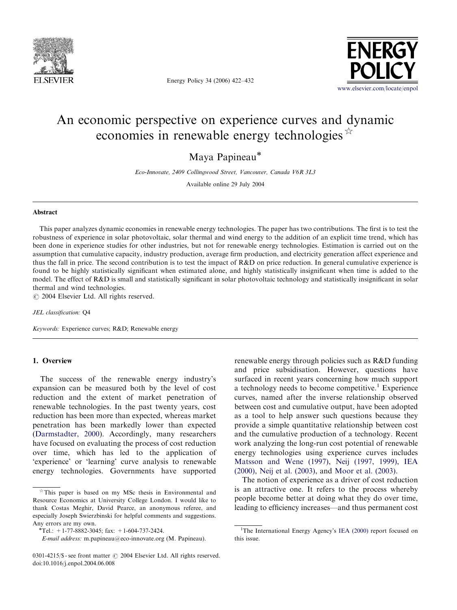

Energy Policy 34 (2006) 422–432



# An economic perspective on experience curves and dynamic economies in renewable energy technologies  $\overrightarrow{A}$

Maya Papineau

Eco-Innovate, 2409 Collingwood Street, Vancouver, Canada V6R 3L3

Available online 29 July 2004

## Abstract

This paper analyzes dynamic economies in renewable energy technologies. The paper has two contributions. The first is to test the robustness of experience in solar photovoltaic, solar thermal and wind energy to the addition of an explicit time trend, which has been done in experience studies for other industries, but not for renewable energy technologies. Estimation is carried out on the assumption that cumulative capacity, industry production, average firm production, and electricity generation affect experience and thus the fall in price. The second contribution is to test the impact of R&D on price reduction. In general cumulative experience is found to be highly statistically significant when estimated alone, and highly statistically insignificant when time is added to the model. The effect of R&D is small and statistically significant in solar photovoltaic technology and statistically insignificant in solar thermal and wind technologies.

 $\odot$  2004 Elsevier Ltd. All rights reserved.

JEL classification: Q4

Keywords: Experience curves; R&D; Renewable energy

# 1. Overview

The success of the renewable energy industry's expansion can be measured both by the level of cost reduction and the extent of market penetration of renewable technologies. In the past twenty years, cost reduction has been more than expected, whereas market penetration has been markedly lower than expected ([Darmstadter, 2000\)](#page--1-0). Accordingly, many researchers have focused on evaluating the process of cost reduction over time, which has led to the application of 'experience' or 'learning' curve analysis to renewable energy technologies. Governments have supported

renewable energy through policies such as R&D funding and price subsidisation. However, questions have surfaced in recent years concerning how much support a technology needs to become competitive.<sup>1</sup> Experience curves, named after the inverse relationship observed between cost and cumulative output, have been adopted as a tool to help answer such questions because they provide a simple quantitative relationship between cost and the cumulative production of a technology. Recent work analyzing the long-run cost potential of renewable energy technologies using experience curves includes [Matsson and Wene \(1997\)](#page--1-0), [Neij \(1997, 1999\)](#page--1-0), [IEA](#page--1-0) [\(2000\)](#page--1-0), [Neij et al. \(2003\),](#page--1-0) and [Moor et al. \(2003\).](#page--1-0)

The notion of experience as a driver of cost reduction is an attractive one. It refers to the process whereby people become better at doing what they do over time, leading to efficiency increases—and thus permanent cost

 $*$ This paper is based on my MSc thesis in Environmental and Resource Economics at University College London. I would like to thank Costas Meghir, David Pearce, an anonymous referee, and especially Joseph Swierzbinski for helpful comments and suggestions. Any errors are my own.<br>\*Tel.: +1-77-8882-3045; fax: +1-604-737-2424.

E-mail address: m.papineau@eco-innovate.org (M. Papineau).

<sup>0301-4215/\$ -</sup> see front matter  $\odot$  2004 Elsevier Ltd. All rights reserved. doi:10.1016/j.enpol.2004.06.008

<sup>&</sup>lt;sup>1</sup>The International Energy Agency's [IEA \(2000\)](#page--1-0) report focused on this issue.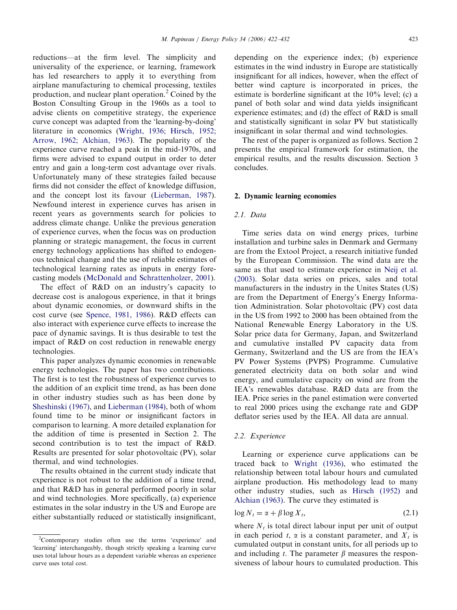reductions—at the firm level. The simplicity and universality of the experience, or learning, framework has led researchers to apply it to everything from airplane manufacturing to chemical processing, textiles production, and nuclear plant operation.<sup>2</sup> Coined by the Boston Consulting Group in the 1960s as a tool to advise clients on competitive strategy, the experience curve concept was adapted from the 'learning-by-doing' literature in economics ([Wright, 1936; Hirsch, 1952;](#page--1-0) [Arrow, 1962; Alchian, 1963](#page--1-0)). The popularity of the experience curve reached a peak in the mid-1970s, and firms were advised to expand output in order to deter entry and gain a long-term cost advantage over rivals. Unfortunately many of these strategies failed because firms did not consider the effect of knowledge diffusion, and the concept lost its favour [\(Lieberman, 1987\)](#page--1-0). Newfound interest in experience curves has arisen in recent years as governments search for policies to address climate change. Unlike the previous generation of experience curves, when the focus was on production planning or strategic management, the focus in current energy technology applications has shifted to endogenous technical change and the use of reliable estimates of technological learning rates as inputs in energy forecasting models [\(McDonald and Schrattenholzer, 2001\)](#page--1-0).

The effect of R&D on an industry's capacity to decrease cost is analogous experience, in that it brings about dynamic economies, or downward shifts in the cost curve (see [Spence, 1981, 1986](#page--1-0)). R&D effects can also interact with experience curve effects to increase the pace of dynamic savings. It is thus desirable to test the impact of R&D on cost reduction in renewable energy technologies.

This paper analyzes dynamic economies in renewable energy technologies. The paper has two contributions. The first is to test the robustness of experience curves to the addition of an explicit time trend, as has been done in other industry studies such as has been done by [Sheshinski \(1967\),](#page--1-0) and [Lieberman \(1984\)](#page--1-0), both of whom found time to be minor or insignificant factors in comparison to learning. A more detailed explanation for the addition of time is presented in Section 2. The second contribution is to test the impact of R&D. Results are presented for solar photovoltaic (PV), solar thermal, and wind technologies.

The results obtained in the current study indicate that experience is not robust to the addition of a time trend, and that R&D has in general performed poorly in solar and wind technologies. More specifically, (a) experience estimates in the solar industry in the US and Europe are either substantially reduced or statistically insignificant,

depending on the experience index; (b) experience estimates in the wind industry in Europe are statistically insignificant for all indices, however, when the effect of better wind capture is incorporated in prices, the estimate is borderline significant at the 10% level; (c) a panel of both solar and wind data yields insignificant experience estimates; and (d) the effect of R&D is small and statistically significant in solar PV but statistically insignificant in solar thermal and wind technologies.

The rest of the paper is organized as follows. Section 2 presents the empirical framework for estimation, the empirical results, and the results discussion. Section 3 concludes.

#### 2. Dynamic learning economies

## 2.1. Data

Time series data on wind energy prices, turbine installation and turbine sales in Denmark and Germany are from the Extool Project, a research initiative funded by the European Commission. The wind data are the same as that used to estimate experience in [Neij et al.](#page--1-0) [\(2003\)](#page--1-0). Solar data series on prices, sales and total manufacturers in the industry in the Unites States (US) are from the Department of Energy's Energy Information Administration. Solar photovoltaic (PV) cost data in the US from 1992 to 2000 has been obtained from the National Renewable Energy Laboratory in the US. Solar price data for Germany, Japan, and Switzerland and cumulative installed PV capacity data from Germany, Switzerland and the US are from the IEA's PV Power Systems (PVPS) Programme. Cumulative generated electricity data on both solar and wind energy, and cumulative capacity on wind are from the IEA's renewables database. R&D data are from the IEA. Price series in the panel estimation were converted to real 2000 prices using the exchange rate and GDP deflator series used by the IEA. All data are annual.

### 2.2. Experience

Learning or experience curve applications can be traced back to [Wright \(1936\),](#page--1-0) who estimated the relationship between total labour hours and cumulated airplane production. His methodology lead to many other industry studies, such as Hirsch (1952) and [Alchian \(1963\).](#page--1-0) The curve they estimated is

$$
\log N_t = \alpha + \beta \log X_t,\tag{2.1}
$$

where  $N_t$  is total direct labour input per unit of output in each period t,  $\alpha$  is a constant parameter, and  $X_t$  is cumulated output in constant units, for all periods up to and including t. The parameter  $\beta$  measures the responsiveness of labour hours to cumulated production. This

<sup>&</sup>lt;sup>2</sup>Contemporary studies often use the terms 'experience' and 'learning' interchangeably, though strictly speaking a learning curve uses total labour hours as a dependent variable whereas an experience curve uses total cost.